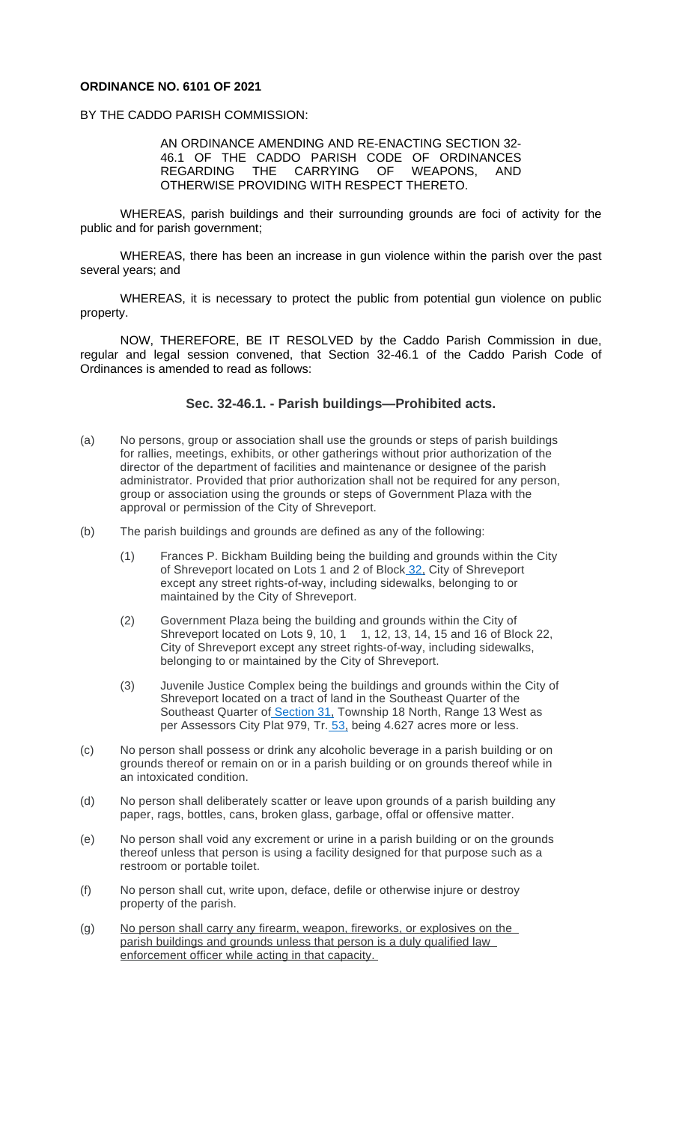WHEREAS, there has been an increase in gun violence within the parish over the past several years; and

WHEREAS, it is necessary to protect the public from potential gun violence on public property.

NOW, THEREFORE, BE IT RESOLVED by the Caddo Parish Commission in due, regular and legal session convened, that Section 32-46.1 of the Caddo Parish Code of Ordinances is amended to read as follows:

## **Sec. 32-46.1. - Parish buildings—Prohibited acts.**

- (a) No persons, group or association shall use the grounds or steps of parish buildings for rallies, meetings, exhibits, or other gatherings without prior authorization of the director of the department of facilities and maintenance or designee of the parish administrator. Provided that prior authorization shall not be required for any person, group or association using the grounds or steps of Government Plaza with the approval or permission of the City of Shreveport.
- (b) The parish buildings and grounds are defined as any of the following:
	- (1) Frances P. Bickham Building being the building and grounds within the City of Shreveport located on Lots 1 and 2 of Block 32, City of Shreveport except any street rights-of-way, including sidewalks, belonging to or maintained by the City of Shreveport.
	- (2) Government Plaza being the building and grounds within the City of Shreveport located on Lots 9, 10, 1 1, 12, 13, 14, 15 and 16 of Block 22, City of Shreveport except any street rights-of-way, including sidewalks, belonging to or maintained by the City of Shreveport.
	- (3) Juvenile Justice Complex being the buildings and grounds within the City of Shreveport located on a tract of land in the Southeast Quarter of the Southeast Quarter of Section 31, Township 18 North, Range 13 West as per Assessors City Plat 979, Tr. 53, being 4.627 acres more or less.
- (c) No person shall possess or drink any alcoholic beverage in a parish building or on grounds thereof or remain on or in a parish building or on grounds thereof while in an intoxicated condition.
- (d) No person shall deliberately scatter or leave upon gro[und](https://library.municode.com/la/caddo_parish/codes/code_of_ordinances?nodeId=PTIICOOR_CH32OFMIPR)s of a parish building any paper, rags, bottles, cans, broken glass, garbage, offal or offensive matter.
- (e) No person shall void any excrement or urine in a parish building or on the grounds thereof unless that person is using a facility designed for that purpose such as a restroom or portable toilet.
- (f) No person shall cut, write upon, deface, defile or otherwise injure or destroy property of the parish.
- (g) No person shall carry any firearm, weapon, fireworks, or explosives on the parish buildings and grounds unless that person is a duly qualified law enforcement officer while acting in [that](https://library.municode.com/la/caddo_parish/codes/code_of_ordinances?nodeId=PTIICOOR_CH31RE) [cap](https://library.municode.com/la/caddo_parish/codes/code_of_ordinances?nodeId=PTIICOOR_CH53RE)acity.